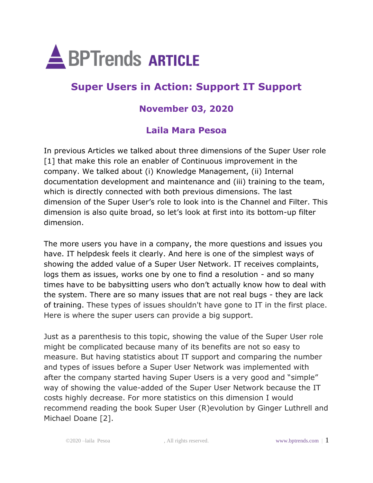

# **Super Users in Action: Support IT Support**

# **November 03, 2020**

### **Laila Mara Pesoa**

In previous Articles we talked about three dimensions of the Super User role [1] that make this role an enabler of Continuous improvement in the company. We talked about (i) Knowledge Management, (ii) Internal documentation development and maintenance and (iii) training to the team, which is directly connected with both previous dimensions. The last dimension of the Super User's role to look into is the Channel and Filter. This dimension is also quite broad, so let's look at first into its bottom-up filter dimension.

The more users you have in a company, the more questions and issues you have. IT helpdesk feels it clearly. And here is one of the simplest ways of showing the added value of a Super User Network. IT receives complaints, logs them as issues, works one by one to find a resolution - and so many times have to be babysitting users who don't actually know how to deal with the system. There are so many issues that are not real bugs - they are lack of training. These types of issues shouldn't have gone to IT in the first place. Here is where the super users can provide a big support.

Just as a parenthesis to this topic, showing the value of the Super User role might be complicated because many of its benefits are not so easy to measure. But having statistics about IT support and comparing the number and types of issues before a Super User Network was implemented with after the company started having Super Users is a very good and "simple" way of showing the value-added of the Super User Network because the IT costs highly decrease. For more statistics on this dimension I would recommend reading the book Super User (R)evolution by Ginger Luthrell and Michael Doane [2].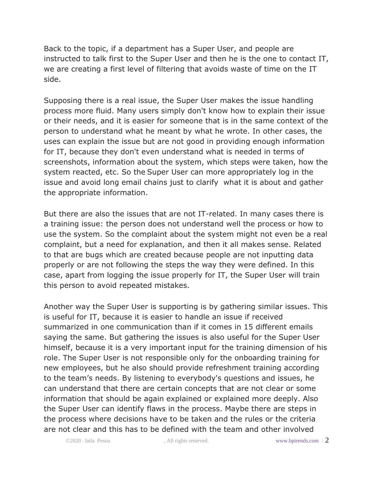Back to the topic, if a department has a Super User, and people are instructed to talk first to the Super User and then he is the one to contact IT, we are creating a first level of filtering that avoids waste of time on the IT side.

Supposing there is a real issue, the Super User makes the issue handling process more fluid. Many users simply don't know how to explain their issue or their needs, and it is easier for someone that is in the same context of the person to understand what he meant by what he wrote. In other cases, the uses can explain the issue but are not good in providing enough information for IT, because they don't even understand what is needed in terms of screenshots, information about the system, which steps were taken, how the system reacted, etc. So the Super User can more appropriately log in the issue and avoid long email chains just to clarify what it is about and gather the appropriate information.

But there are also the issues that are not IT-related. In many cases there is a training issue: the person does not understand well the process or how to use the system. So the complaint about the system might not even be a real complaint, but a need for explanation, and then it all makes sense. Related to that are bugs which are created because people are not inputting data properly or are not following the steps the way they were defined. In this case, apart from logging the issue properly for IT, the Super User will train this person to avoid repeated mistakes.

Another way the Super User is supporting is by gathering similar issues. This is useful for IT, because it is easier to handle an issue if received summarized in one communication than if it comes in 15 different emails saying the same. But gathering the issues is also useful for the Super User himself, because it is a very important input for the training dimension of his role. The Super User is not responsible only for the onboarding training for new employees, but he also should provide refreshment training according to the team's needs. By listening to everybody's questions and issues, he can understand that there are certain concepts that are not clear or some information that should be again explained or explained more deeply. Also the Super User can identify flaws in the process. Maybe there are steps in the process where decisions have to be taken and the rules or the criteria are not clear and this has to be defined with the team and other involved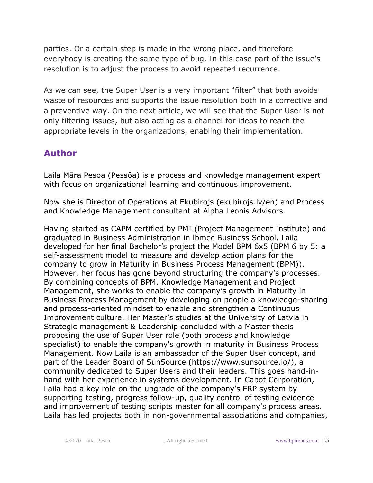parties. Or a certain step is made in the wrong place, and therefore everybody is creating the same type of bug. In this case part of the issue's resolution is to adjust the process to avoid repeated recurrence.

As we can see, the Super User is a very important "filter" that both avoids waste of resources and supports the issue resolution both in a corrective and a preventive way. On the next article, we will see that the Super User is not only filtering issues, but also acting as a channel for ideas to reach the appropriate levels in the organizations, enabling their implementation.

## **Author**

Laila Māra Pesoa (Pessôa) is a process and knowledge management expert with focus on organizational learning and continuous improvement.

Now she is Director of Operations at Ekubirojs (ekubirojs.lv/en) and Process and Knowledge Management consultant at Alpha Leonis Advisors.

Having started as CAPM certified by PMI (Project Management Institute) and graduated in Business Administration in lbmec Business School, Laila developed for her final Bachelor's project the Model BPM 6x5 (BPM 6 by 5: a self-assessment model to measure and develop action plans for the company to grow in Maturity in Business Process Management (BPM)). However, her focus has gone beyond structuring the company's processes. By combining concepts of BPM, Knowledge Management and Project Management, she works to enable the company's growth in Maturity in Business Process Management by developing on people a knowledge-sharing and process-oriented mindset to enable and strengthen a Continuous Improvement culture. Her Master's studies at the University of Latvia in Strategic management & Leadership concluded with a Master thesis proposing the use of Super User role (both process and knowledge specialist) to enable the company's growth in maturity in Business Process Management. Now Laila is an ambassador of the Super User concept, and part of the Leader Board of SunSource (https://www.sunsource.io/), a community dedicated to Super Users and their leaders. This goes hand-inhand with her experience in systems development. In Cabot Corporation, Laila had a key role on the upgrade of the company's ERP system by supporting testing, progress follow-up, quality control of testing evidence and improvement of testing scripts master for all company's process areas. Laila has led projects both in non-governmental associations and companies,